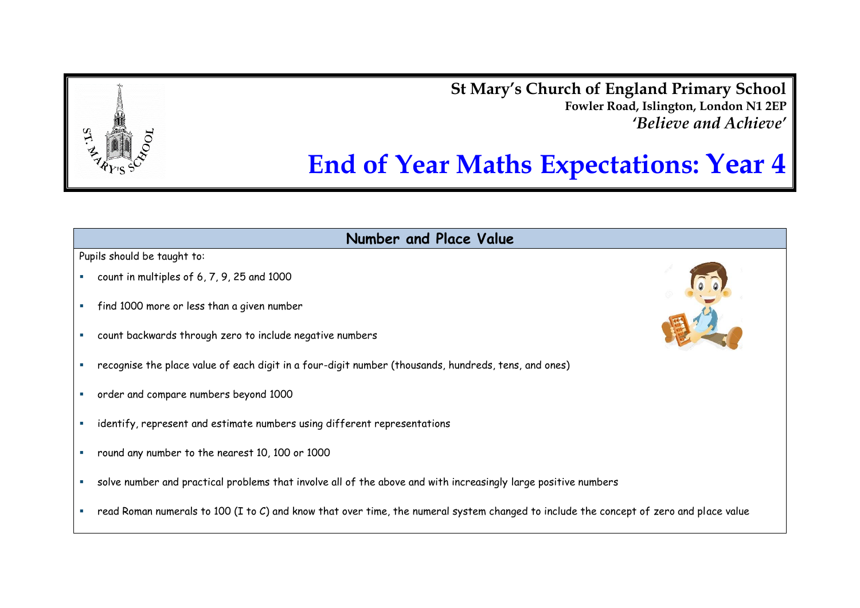**St Mary's Church of England Primary School Fowler Road, Islington, London N1 2EP** *'Believe and Achieve'*

# **End of Year Maths Expectations: Year 4**

**Number and Place Value**

- count in multiples of 6, 7, 9, 25 and 1000
- find 1000 more or less than a given number
- count backwards through zero to include negative numbers
- recognise the place value of each digit in a four-digit number (thousands, hundreds, tens, and ones)
- order and compare numbers beyond 1000
- **EXEDENT** identify, represent and estimate numbers using different representations
- round any number to the nearest 10, 100 or 1000
- solve number and practical problems that involve all of the above and with increasingly large positive numbers
- read Roman numerals to 100 (I to C) and know that over time, the numeral system changed to include the concept of zero and place value



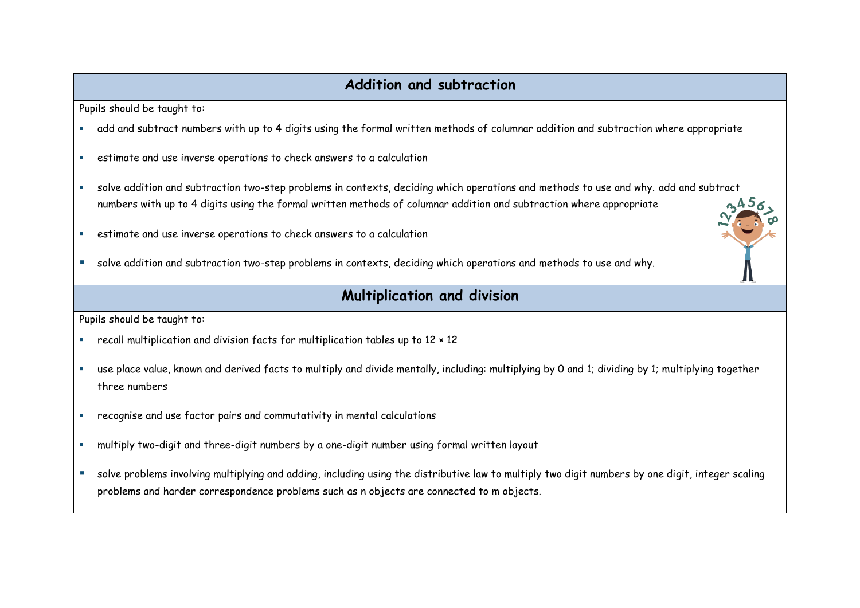## **Addition and subtraction**

Pupils should be taught to:

- add and subtract numbers with up to 4 digits using the formal written methods of columnar addition and subtraction where appropriate
- estimate and use inverse operations to check answers to a calculation
- solve addition and subtraction two-step problems in contexts, deciding which operations and methods to use and why. add and subtract numbers with up to 4 digits using the formal written methods of columnar addition and subtraction where appropriate
- estimate and use inverse operations to check answers to a calculation
- solve addition and subtraction two-step problems in contexts, deciding which operations and methods to use and why.

### **Multiplication and division**

- recall multiplication and division facts for multiplication tables up to 12 × 12
- use place value, known and derived facts to multiply and divide mentally, including: multiplying by 0 and 1; dividing by 1; multiplying together three numbers
- recognise and use factor pairs and commutativity in mental calculations
- multiply two-digit and three-digit numbers by a one-digit number using formal written layout
- solve problems involving multiplying and adding, including using the distributive law to multiply two digit numbers by one digit, integer scaling problems and harder correspondence problems such as n objects are connected to m objects.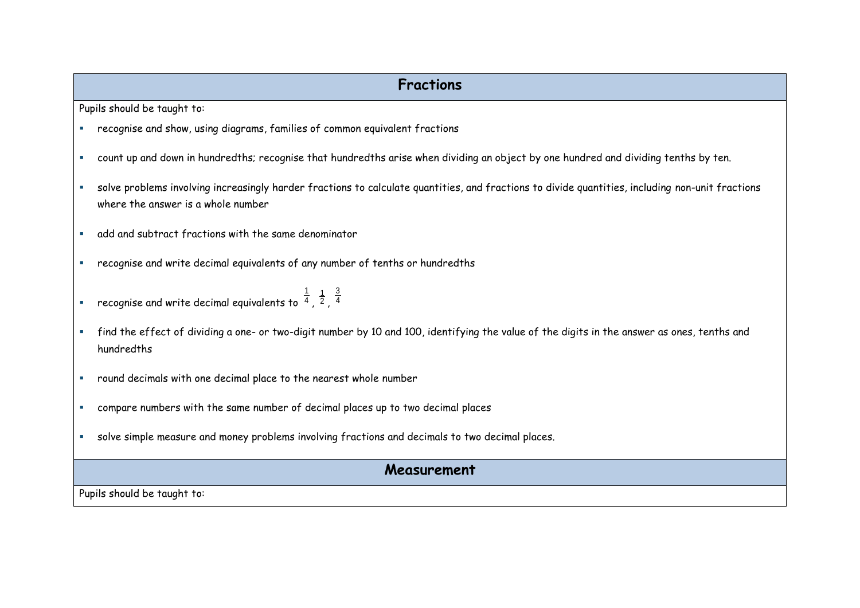## **Fractions**

Pupils should be taught to:

- recognise and show, using diagrams, families of common equivalent fractions
- count up and down in hundredths; recognise that hundredths arise when dividing an object by one hundred and dividing tenths by ten.
- solve problems involving increasingly harder fractions to calculate quantities, and fractions to divide quantities, including non-unit fractions where the answer is a whole number
- add and subtract fractions with the same denominator
- recognise and write decimal equivalents of any number of tenths or hundredths
- $\blacksquare$  recognise and write decimal equivalents to  $^4$ 1  $\frac{1}{2}$ , 4 3
- find the effect of dividing a one- or two-digit number by 10 and 100, identifying the value of the digits in the answer as ones, tenths and hundredths
- round decimals with one decimal place to the nearest whole number
- compare numbers with the same number of decimal places up to two decimal places
- solve simple measure and money problems involving fractions and decimals to two decimal places.

#### **Measurement**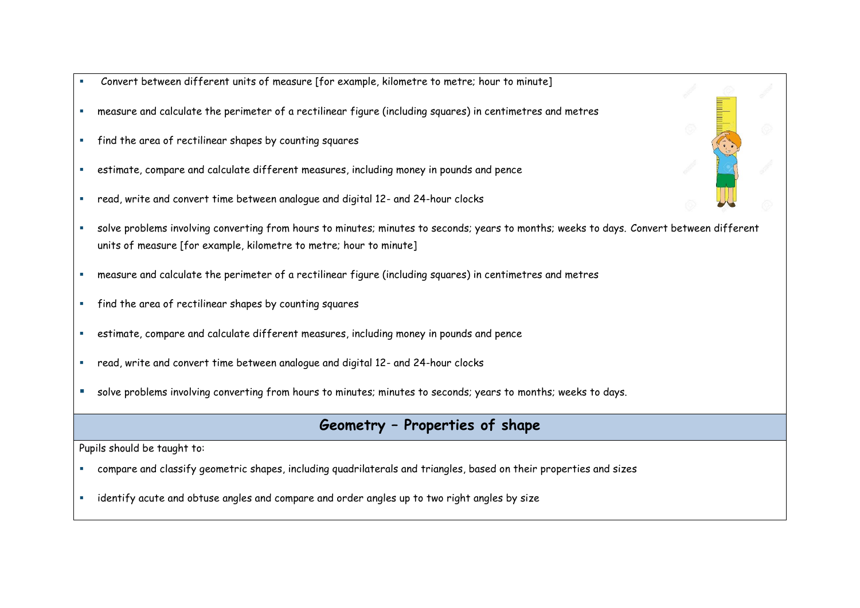- Convert between different units of measure [for example, kilometre to metre; hour to minute]
- measure and calculate the perimeter of a rectilinear figure (including squares) in centimetres and metres
- find the area of rectilinear shapes by counting squares
- estimate, compare and calculate different measures, including money in pounds and pence
- read, write and convert time between analogue and digital 12- and 24-hour clocks
- solve problems involving converting from hours to minutes; minutes to seconds; years to months; weeks to days. Convert between different units of measure [for example, kilometre to metre; hour to minute]
- measure and calculate the perimeter of a rectilinear figure (including squares) in centimetres and metres
- find the area of rectilinear shapes by counting squares
- estimate, compare and calculate different measures, including money in pounds and pence
- read, write and convert time between analogue and digital 12- and 24-hour clocks
- solve problems involving converting from hours to minutes; minutes to seconds; years to months; weeks to days.

## **Geometry – Properties of shape**

- compare and classify geometric shapes, including quadrilaterals and triangles, based on their properties and sizes
- identify acute and obtuse angles and compare and order angles up to two right angles by size